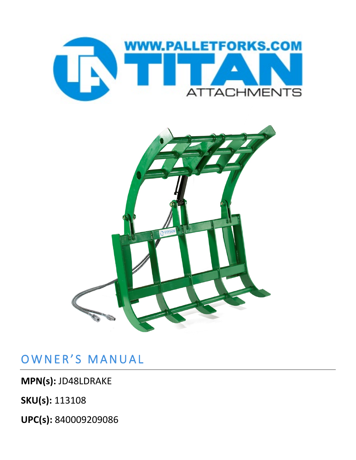



## OWNER'S MANUAL

**MPN(s):** JD48LDRAKE

**SKU(s):** 113108

**UPC(s):** 840009209086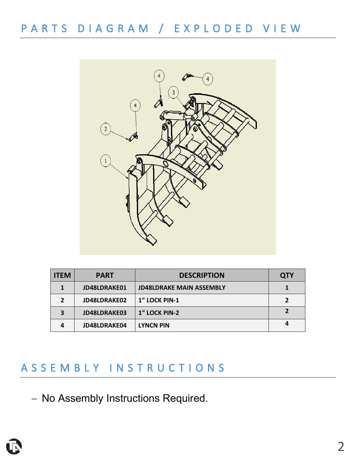PARTS DIAGRAM / EXPLODED VIEW



| <b>ITEM</b>  | <b>PART</b>  | <b>DESCRIPTION</b>              | <b>QTY</b> |
|--------------|--------------|---------------------------------|------------|
|              | JD48LDRAKE01 | <b>JD48LDRAKE MAIN ASSEMBLY</b> |            |
| $\mathbf{z}$ | JD48LDRAKE02 | 1" LOCK PIN-1                   |            |
| 3            | JD48LDRAKE03 | 1" LOCK PIN-2                   |            |
| Δ            | JD48LDRAKE04 | <b>LYNCN PIN</b>                |            |

## ASSEMBLY INSTRUCTIONS

− No Assembly Instructions Required.